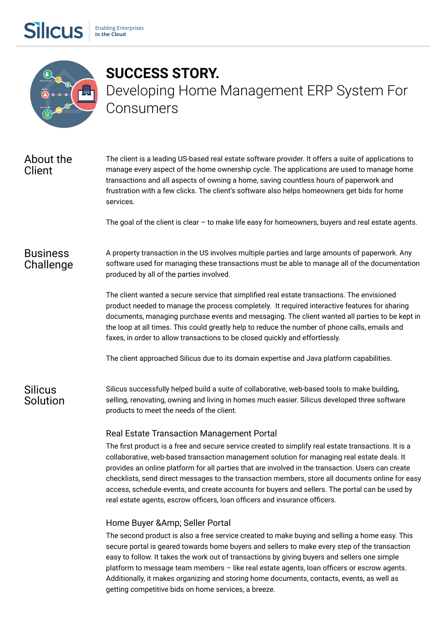

**Silicus** 

# SUCCESS STORY. Developing Home Management ERP System For Consumers

## About the Client

The client is a leading US-based real estate software provider. It offers a suite of applications to manage every aspect of the home ownership cycle. The applications are used to manage home transactions and all aspects of owning a home, saving countless hours of paperwork and frustration with a few clicks. The client's software also helps homeowners get bids for home services.

The goal of the client is clear  $-$  to make life easy for homeowners, buyers and real estate agents.

#### **Business** Challenge A property transaction in the US involves multiple parties and large amounts of paperwork. Any software used for managing these transactions must be able to manage all of the documentation produced by all of the parties involved.

The client wanted a secure service that simplified real estate transactions. The envisioned product needed to manage the process completely. It required interactive features for sharing documents, managing purchase events and messaging. The client wanted all parties to be kept in the loop at all times. This could greatly help to reduce the number of phone calls, emails and faxes, in order to allow transactions to be closed quickly and effortlessly.

**Silicus** Solution The client approached Silicus due to its domain expertise and Java platform capabilities.

Silicus successfully helped build a suite of collaborative, web-based tools to make building, selling, renovating, owning and living in homes much easier. Silicus developed three software products to meet the needs of the client.

## Real Estate Transaction Management Portal

The first product is a free and secure service created to simplify real estate transactions. It is a collaborative, web-based transaction management solution for managing real estate deals. It provides an online platform for all parties that are involved in the transaction. Users can create checklists, send direct messages to the transaction members, store all documents online for easy access, schedule events, and create accounts for buyers and sellers. The portal can be used by real estate agents, escrow officers, loan officers and insurance officers.

#### Home Buyer &Amp; Seller Portal

The second product is also a free service created to make buying and selling a home easy. This secure portal is geared towards home buyers and sellers to make every step of the transaction easy to follow. It takes the work out of transactions by giving buyers and sellers one simple platform to message team members  $-$  like real estate agents, loan officers or escrow agents. Additionally, it makes organizing and storing home documents, contacts, events, as well as getting competitive bids on home services, a breeze.